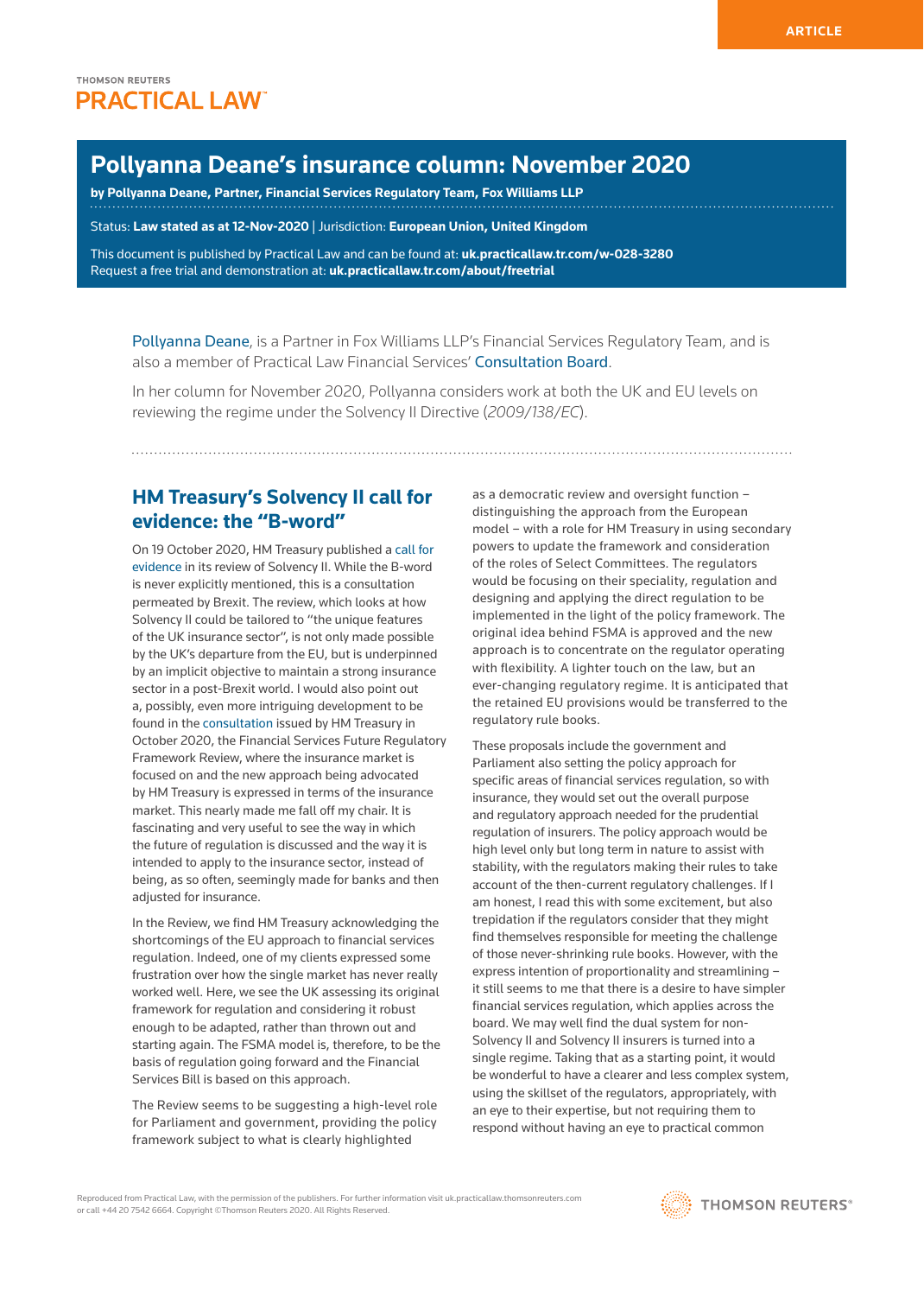# **Pollyanna Deane's insurance column: November 2020**

**by [Pollyanna Deane](https://www.foxwilliams.com/profile/pollyanna-deane/), Partner, Financial Services Regulatory Team, Fox Williams LLP**

Status: **Law stated as at 12-Nov-2020** | Jurisdiction: **European Union, United Kingdom**

This document is published by Practical Law and can be found at: **[uk.practicallaw.tr.com/w-028-3280](http://uk.practicallaw.tr.com/w-028-3280)** Request a free trial and demonstration at: **[uk.practicallaw.tr.com/about/freetrial](http://uk.practicallaw.tr.com/about/freetrial)**

[Pollyanna Deane](https://www.foxwilliams.com/profile/pollyanna-deane/), is a Partner in Fox Williams LLP's Financial Services Regulatory Team, and is also a member of Practical Law Financial Services' [Consultation Board](https://uk.practicallaw.thomsonreuters.com/Browse/Home/About/ConsultationboardFinancialServices?transitionType=Default&contextData=(sc.Default)&comp=pluk&navId=43860C54AF0271D42A7D0ABCF9677264).

In her column for November 2020, Pollyanna considers work at both the UK and EU levels on reviewing the regime under the Solvency II Directive (*2009/138/EC*).

# **HM Treasury's Solvency II call for evidence: the "B-word"**

On 19 October 2020, HM Treasury published a [call for](https://assets.publishing.service.gov.uk/government/uploads/system/uploads/attachment_data/file/927345/Solvency_II_Call_for_Evidence.pdf)  [evidence](https://assets.publishing.service.gov.uk/government/uploads/system/uploads/attachment_data/file/927345/Solvency_II_Call_for_Evidence.pdf) in its review of Solvency II. While the B-word is never explicitly mentioned, this is a consultation permeated by Brexit. The review, which looks at how Solvency II could be tailored to "the unique features of the UK insurance sector", is not only made possible by the UK's departure from the EU, but is underpinned by an implicit objective to maintain a strong insurance sector in a post-Brexit world. I would also point out a, possibly, even more intriguing development to be found in the [consultation](https://assets.publishing.service.gov.uk/government/uploads/system/uploads/attachment_data/file/927316/141020_Final_Phase_II_Condoc_For_Publication_for_print.pdf) issued by HM Treasury in October 2020, the Financial Services Future Regulatory Framework Review, where the insurance market is focused on and the new approach being advocated by HM Treasury is expressed in terms of the insurance market. This nearly made me fall off my chair. It is fascinating and very useful to see the way in which the future of regulation is discussed and the way it is intended to apply to the insurance sector, instead of being, as so often, seemingly made for banks and then adjusted for insurance.

In the Review, we find HM Treasury acknowledging the shortcomings of the EU approach to financial services regulation. Indeed, one of my clients expressed some frustration over how the single market has never really worked well. Here, we see the UK assessing its original framework for regulation and considering it robust enough to be adapted, rather than thrown out and starting again. The FSMA model is, therefore, to be the basis of regulation going forward and the Financial Services Bill is based on this approach.

The Review seems to be suggesting a high-level role for Parliament and government, providing the policy framework subject to what is clearly highlighted

as a democratic review and oversight function – distinguishing the approach from the European model – with a role for HM Treasury in using secondary powers to update the framework and consideration of the roles of Select Committees. The regulators would be focusing on their speciality, regulation and designing and applying the direct regulation to be implemented in the light of the policy framework. The original idea behind FSMA is approved and the new approach is to concentrate on the regulator operating with flexibility. A lighter touch on the law, but an ever-changing regulatory regime. It is anticipated that the retained EU provisions would be transferred to the regulatory rule books.

These proposals include the government and Parliament also setting the policy approach for specific areas of financial services regulation, so with insurance, they would set out the overall purpose and regulatory approach needed for the prudential regulation of insurers. The policy approach would be high level only but long term in nature to assist with stability, with the regulators making their rules to take account of the then-current regulatory challenges. If I am honest, I read this with some excitement, but also trepidation if the regulators consider that they might find themselves responsible for meeting the challenge of those never-shrinking rule books. However, with the express intention of proportionality and streamlining – it still seems to me that there is a desire to have simpler financial services regulation, which applies across the board. We may well find the dual system for non-Solvency II and Solvency II insurers is turned into a single regime. Taking that as a starting point, it would be wonderful to have a clearer and less complex system, using the skillset of the regulators, appropriately, with an eye to their expertise, but not requiring them to respond without having an eye to practical common

Reproduced from Practical Law, with the permission of the publishers. For further information visit uk.practicallaw.thomsonreuters.com or call +44 20 7542 6664. Copyright ©Thomson Reuters 2020. All Rights Reserved.

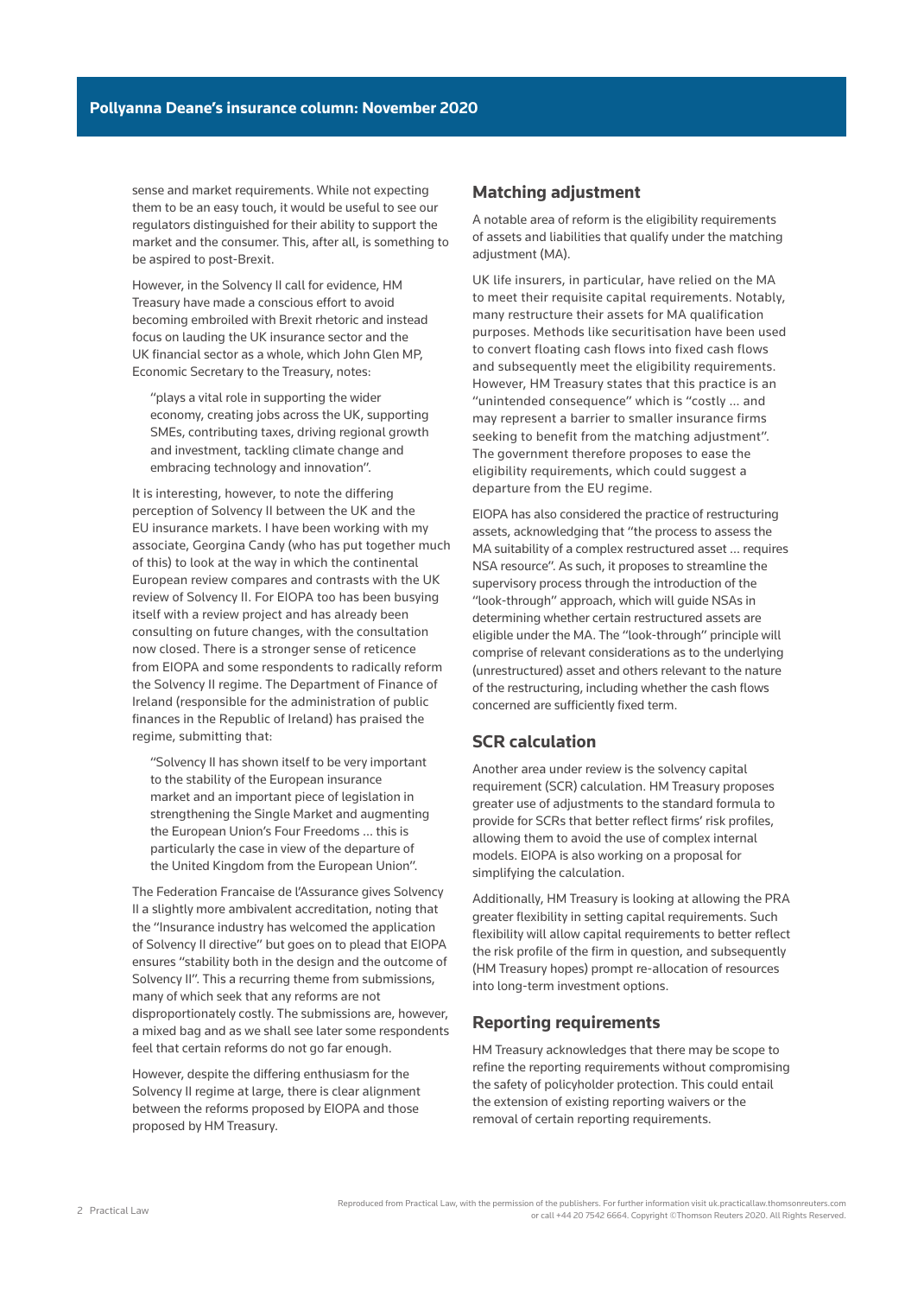sense and market requirements. While not expecting them to be an easy touch, it would be useful to see our regulators distinguished for their ability to support the market and the consumer. This, after all, is something to be aspired to post-Brexit.

However, in the Solvency II call for evidence, HM Treasury have made a conscious effort to avoid becoming embroiled with Brexit rhetoric and instead focus on lauding the UK insurance sector and the UK financial sector as a whole, which John Glen MP, Economic Secretary to the Treasury, notes:

"plays a vital role in supporting the wider economy, creating jobs across the UK, supporting SMEs, contributing taxes, driving regional growth and investment, tackling climate change and embracing technology and innovation".

It is interesting, however, to note the differing perception of Solvency II between the UK and the EU insurance markets. I have been working with my associate, Georgina Candy (who has put together much of this) to look at the way in which the continental European review compares and contrasts with the UK review of Solvency II. For EIOPA too has been busying itself with a review project and has already been consulting on future changes, with the consultation now closed. There is a stronger sense of reticence from EIOPA and some respondents to radically reform the Solvency II regime. The Department of Finance of Ireland (responsible for the administration of public finances in the Republic of Ireland) has praised the regime, submitting that:

"Solvency II has shown itself to be very important to the stability of the European insurance market and an important piece of legislation in strengthening the Single Market and augmenting the European Union's Four Freedoms … this is particularly the case in view of the departure of the United Kingdom from the European Union".

The Federation Francaise de l'Assurance gives Solvency II a slightly more ambivalent accreditation, noting that the "Insurance industry has welcomed the application of Solvency II directive" but goes on to plead that EIOPA ensures "stability both in the design and the outcome of Solvency II". This a recurring theme from submissions, many of which seek that any reforms are not disproportionately costly. The submissions are, however, a mixed bag and as we shall see later some respondents feel that certain reforms do not go far enough.

However, despite the differing enthusiasm for the Solvency II regime at large, there is clear alignment between the reforms proposed by EIOPA and those proposed by HM Treasury.

#### **Matching adjustment**

A notable area of reform is the eligibility requirements of assets and liabilities that qualify under the matching adjustment (MA).

UK life insurers, in particular, have relied on the MA to meet their requisite capital requirements. Notably, many restructure their assets for MA qualification purposes. Methods like securitisation have been used to convert floating cash flows into fixed cash flows and subsequently meet the eligibility requirements. However, HM Treasury states that this practice is an "unintended consequence" which is "costly … and may represent a barrier to smaller insurance firms seeking to benefit from the matching adjustment". The government therefore proposes to ease the eligibility requirements, which could suggest a departure from the EU regime.

EIOPA has also considered the practice of restructuring assets, acknowledging that "the process to assess the MA suitability of a complex restructured asset … requires NSA resource". As such, it proposes to streamline the supervisory process through the introduction of the "look-through" approach, which will guide NSAs in determining whether certain restructured assets are eligible under the MA. The "look-through" principle will comprise of relevant considerations as to the underlying (unrestructured) asset and others relevant to the nature of the restructuring, including whether the cash flows concerned are sufficiently fixed term.

## **SCR calculation**

Another area under review is the solvency capital requirement (SCR) calculation. HM Treasury proposes greater use of adjustments to the standard formula to provide for SCRs that better reflect firms' risk profiles, allowing them to avoid the use of complex internal models. EIOPA is also working on a proposal for simplifying the calculation.

Additionally, HM Treasury is looking at allowing the PRA greater flexibility in setting capital requirements. Such flexibility will allow capital requirements to better reflect the risk profile of the firm in question, and subsequently (HM Treasury hopes) prompt re-allocation of resources into long-term investment options.

#### **Reporting requirements**

HM Treasury acknowledges that there may be scope to refine the reporting requirements without compromising the safety of policyholder protection. This could entail the extension of existing reporting waivers or the removal of certain reporting requirements.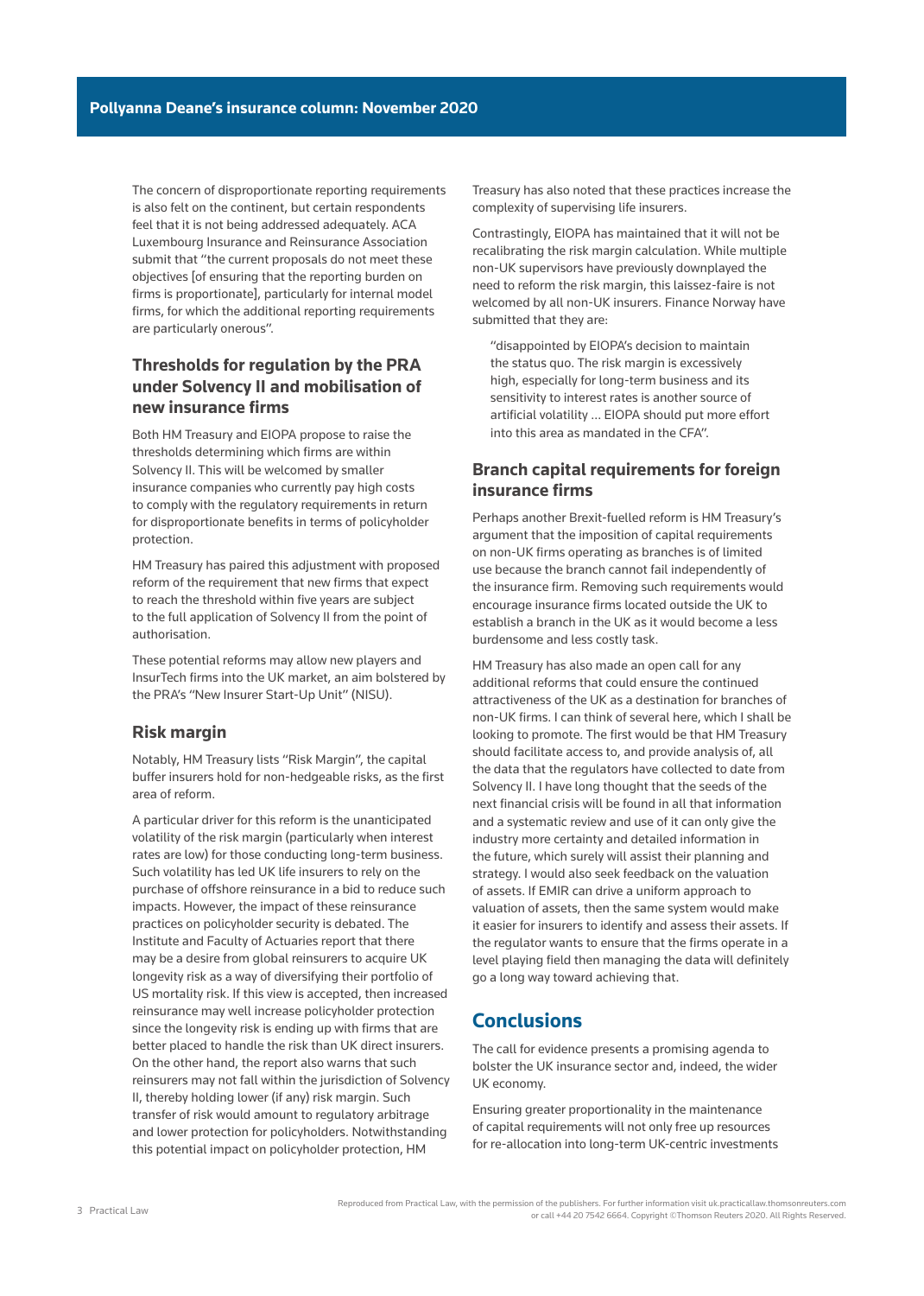The concern of disproportionate reporting requirements is also felt on the continent, but certain respondents feel that it is not being addressed adequately. ACA Luxembourg Insurance and Reinsurance Association submit that "the current proposals do not meet these objectives [of ensuring that the reporting burden on firms is proportionate], particularly for internal model firms, for which the additional reporting requirements are particularly onerous".

### **Thresholds for regulation by the PRA under Solvency II and mobilisation of new insurance firms**

Both HM Treasury and EIOPA propose to raise the thresholds determining which firms are within Solvency II. This will be welcomed by smaller insurance companies who currently pay high costs to comply with the regulatory requirements in return for disproportionate benefits in terms of policyholder protection.

HM Treasury has paired this adjustment with proposed reform of the requirement that new firms that expect to reach the threshold within five years are subject to the full application of Solvency II from the point of authorisation.

These potential reforms may allow new players and InsurTech firms into the UK market, an aim bolstered by the PRA's "New Insurer Start-Up Unit" (NISU).

#### **Risk margin**

Notably, HM Treasury lists "Risk Margin", the capital buffer insurers hold for non-hedgeable risks, as the first area of reform.

A particular driver for this reform is the unanticipated volatility of the risk margin (particularly when interest rates are low) for those conducting long-term business. Such volatility has led UK life insurers to rely on the purchase of offshore reinsurance in a bid to reduce such impacts. However, the impact of these reinsurance practices on policyholder security is debated. The Institute and Faculty of Actuaries report that there may be a desire from global reinsurers to acquire UK longevity risk as a way of diversifying their portfolio of US mortality risk. If this view is accepted, then increased reinsurance may well increase policyholder protection since the longevity risk is ending up with firms that are better placed to handle the risk than UK direct insurers. On the other hand, the report also warns that such reinsurers may not fall within the jurisdiction of Solvency II, thereby holding lower (if any) risk margin. Such transfer of risk would amount to regulatory arbitrage and lower protection for policyholders. Notwithstanding this potential impact on policyholder protection, HM

Treasury has also noted that these practices increase the complexity of supervising life insurers.

Contrastingly, EIOPA has maintained that it will not be recalibrating the risk margin calculation. While multiple non-UK supervisors have previously downplayed the need to reform the risk margin, this laissez-faire is not welcomed by all non-UK insurers. Finance Norway have submitted that they are:

"disappointed by EIOPA's decision to maintain the status quo. The risk margin is excessively high, especially for long-term business and its sensitivity to interest rates is another source of artificial volatility … EIOPA should put more effort into this area as mandated in the CFA".

### **Branch capital requirements for foreign insurance firms**

Perhaps another Brexit-fuelled reform is HM Treasury's argument that the imposition of capital requirements on non-UK firms operating as branches is of limited use because the branch cannot fail independently of the insurance firm. Removing such requirements would encourage insurance firms located outside the UK to establish a branch in the UK as it would become a less burdensome and less costly task.

HM Treasury has also made an open call for any additional reforms that could ensure the continued attractiveness of the UK as a destination for branches of non-UK firms. I can think of several here, which I shall be looking to promote. The first would be that HM Treasury should facilitate access to, and provide analysis of, all the data that the regulators have collected to date from Solvency II. I have long thought that the seeds of the next financial crisis will be found in all that information and a systematic review and use of it can only give the industry more certainty and detailed information in the future, which surely will assist their planning and strategy. I would also seek feedback on the valuation of assets. If EMIR can drive a uniform approach to valuation of assets, then the same system would make it easier for insurers to identify and assess their assets. If the regulator wants to ensure that the firms operate in a level playing field then managing the data will definitely go a long way toward achieving that.

# **Conclusions**

The call for evidence presents a promising agenda to bolster the UK insurance sector and, indeed, the wider UK economy.

Ensuring greater proportionality in the maintenance of capital requirements will not only free up resources for re-allocation into long-term UK-centric investments